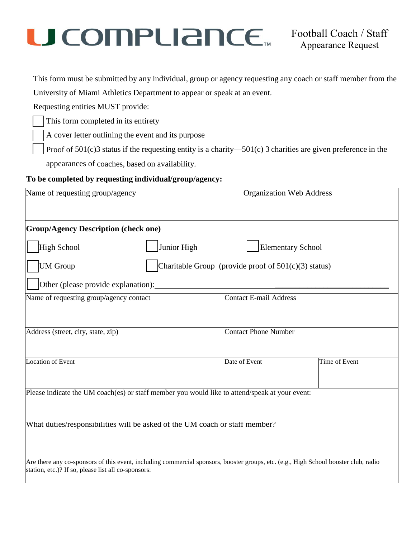# $\mathbf C$   $\mathbf C$   $\mathbf C$   $\mathbf D$   $\mathbf P$   $\mathbf C$   $\mathbf C$   $\mathbf C$   $\mathbf C$   $\mathbf C$   $\mathbf C$   $\mathbf C$   $\mathbf C$   $\mathbf C$   $\mathbf C$   $\mathbf C$   $\mathbf C$   $\mathbf C$   $\mathbf C$   $\mathbf C$   $\mathbf C$   $\mathbf C$   $\mathbf C$   $\mathbf C$   $\mathbf C$   $\mathbf C$   $\mathbf C$   $\mathbf C$   $\mathbf C$   $\mathbf C$   $\mathbf C$   $\mathbf$

This form must be submitted by any individual, group or agency requesting any coach or staff member from the

University of Miami Athletics Department to appear or speak at an event.

Requesting entities MUST provide:

This form completed in its entirety

A cover letter outlining the event and its purpose

Proof of  $501(c)$ 3 status if the requesting entity is a charity—501(c) 3 charities are given preference in the

appearances of coaches, based on availability.

#### **To be completed by requesting individual/group/agency:**

| Name of requesting group/agency                                                                | <b>Organization Web Address</b>                                                                                                     |  |  |
|------------------------------------------------------------------------------------------------|-------------------------------------------------------------------------------------------------------------------------------------|--|--|
| <b>Group/Agency Description (check one)</b>                                                    |                                                                                                                                     |  |  |
| Junior High<br>High School                                                                     | <b>Elementary School</b>                                                                                                            |  |  |
| <b>UM</b> Group                                                                                | Charitable Group (provide proof of $501(c)(3)$ status)                                                                              |  |  |
| Other (please provide explanation):                                                            |                                                                                                                                     |  |  |
| Name of requesting group/agency contact                                                        | <b>Contact E-mail Address</b>                                                                                                       |  |  |
|                                                                                                |                                                                                                                                     |  |  |
| Address (street, city, state, zip)                                                             | <b>Contact Phone Number</b>                                                                                                         |  |  |
|                                                                                                |                                                                                                                                     |  |  |
| Location of Event                                                                              | Date of Event<br>Time of Event                                                                                                      |  |  |
|                                                                                                |                                                                                                                                     |  |  |
| Please indicate the UM coach(es) or staff member you would like to attend/speak at your event: |                                                                                                                                     |  |  |
|                                                                                                |                                                                                                                                     |  |  |
| What duties/responsibilities will be asked of the UM coach or staff member?                    |                                                                                                                                     |  |  |
|                                                                                                |                                                                                                                                     |  |  |
| station, etc.)? If so, please list all co-sponsors:                                            | Are there any co-sponsors of this event, including commercial sponsors, booster groups, etc. (e.g., High School booster club, radio |  |  |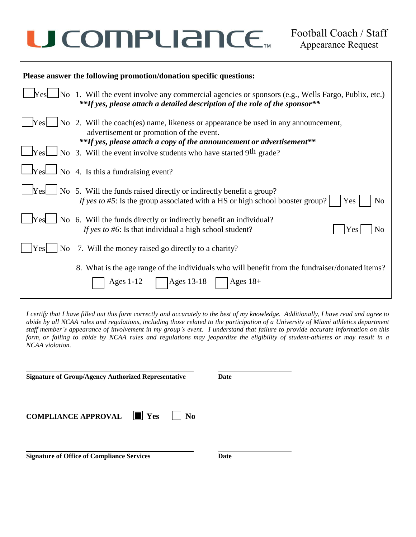# U COMPLIANCE.

| Please answer the following promotion/donation specific questions: |                                                                                                                                                                                                                           |  |  |
|--------------------------------------------------------------------|---------------------------------------------------------------------------------------------------------------------------------------------------------------------------------------------------------------------------|--|--|
|                                                                    | $\text{Yes}$ No 1. Will the event involve any commercial agencies or sponsors (e.g., Wells Fargo, Publix, etc.)<br>**If yes, please attach a detailed description of the role of the sponsor**                            |  |  |
|                                                                    | $\Box$ Yes $\Box$ No 2. Will the coach(es) name, likeness or appearance be used in any announcement,<br>advertisement or promotion of the event.<br>**If yes, please attach a copy of the announcement or advertisement** |  |  |
|                                                                    | $\Box$ Yes $\Box$ No 3. Will the event involve students who have started 9th grade?                                                                                                                                       |  |  |
|                                                                    | $\Box$ Yes $\Box$ No 4. Is this a fundraising event?                                                                                                                                                                      |  |  |
|                                                                    | $\Box$ No 5. Will the funds raised directly or indirectly benefit a group?<br>If yes to #5: Is the group associated with a HS or high school booster group?<br>Yes  <br>No                                                |  |  |
| <b>The Yes</b>                                                     | No 6. Will the funds directly or indirectly benefit an individual?<br>If yes to #6: Is that individual a high school student?<br>Yes<br>No                                                                                |  |  |
| Yes<br>N <sub>0</sub>                                              | 7. Will the money raised go directly to a charity?                                                                                                                                                                        |  |  |
|                                                                    | 8. What is the age range of the individuals who will benefit from the fundraiser/donated items?<br>Ages 13-18<br>Ages $1-12$<br>$Ages 18+$                                                                                |  |  |

I certify that I have filled out this form correctly and accurately to the best of my knowledge. Additionally, I have read and agree to abide by all NCAA rules and regulations, including those related to the participation of a University of Miami athletics department staff member's appearance of involvement in my group's event. I understand that failure to provide accurate information on this form, or failing to abide by NCAA rules and regulations may jeopardize the eligibility of student-athletes or may result in a *NCAA violation.*

| <b>Signature of Group/Agency Authorized Representative</b> | Date |  |
|------------------------------------------------------------|------|--|
| <b>COMPLIANCE APPROVAL III</b> Yes<br>N <sub>0</sub>       |      |  |
| <b>Signature of Office of Compliance Services</b>          | Date |  |